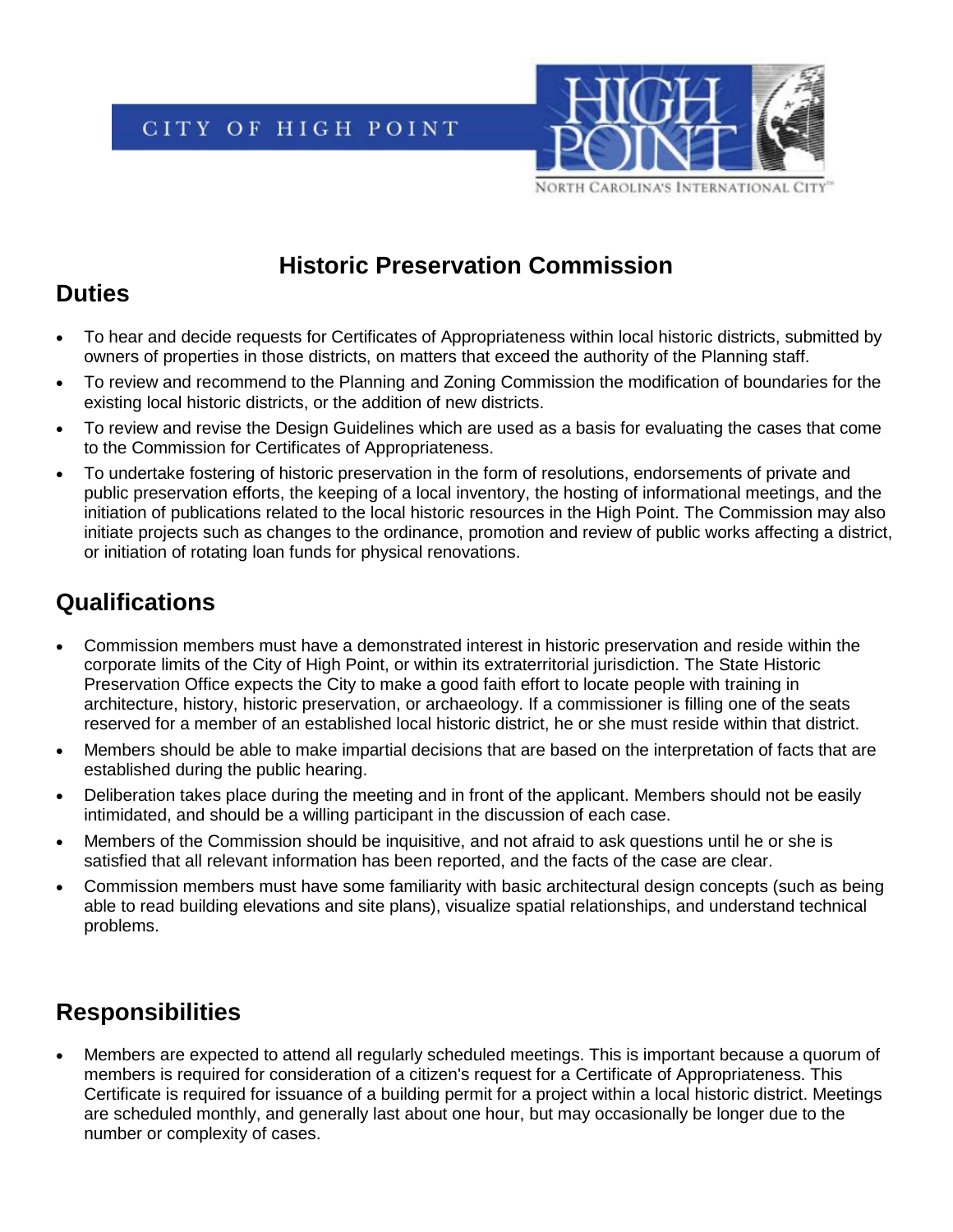CITY OF HIGH POINT



### **Historic Preservation Commission**

## **Duties**

- To hear and decide requests for Certificates of Appropriateness within local historic districts, submitted by owners of properties in those districts, on matters that exceed the authority of the Planning staff.
- To review and recommend to the Planning and Zoning Commission the modification of boundaries for the existing local historic districts, or the addition of new districts.
- To review and revise the Design Guidelines which are used as a basis for evaluating the cases that come to the Commission for Certificates of Appropriateness.
- To undertake fostering of historic preservation in the form of resolutions, endorsements of private and public preservation efforts, the keeping of a local inventory, the hosting of informational meetings, and the initiation of publications related to the local historic resources in the High Point. The Commission may also initiate projects such as changes to the ordinance, promotion and review of public works affecting a district, or initiation of rotating loan funds for physical renovations.

# **Qualifications**

- Commission members must have a demonstrated interest in historic preservation and reside within the corporate limits of the City of High Point, or within its extraterritorial jurisdiction. The State Historic Preservation Office expects the City to make a good faith effort to locate people with training in architecture, history, historic preservation, or archaeology. If a commissioner is filling one of the seats reserved for a member of an established local historic district, he or she must reside within that district.
- Members should be able to make impartial decisions that are based on the interpretation of facts that are established during the public hearing.
- Deliberation takes place during the meeting and in front of the applicant. Members should not be easily intimidated, and should be a willing participant in the discussion of each case.
- Members of the Commission should be inquisitive, and not afraid to ask questions until he or she is satisfied that all relevant information has been reported, and the facts of the case are clear.
- Commission members must have some familiarity with basic architectural design concepts (such as being able to read building elevations and site plans), visualize spatial relationships, and understand technical problems.

# **Responsibilities**

• Members are expected to attend all regularly scheduled meetings. This is important because a quorum of members is required for consideration of a citizen's request for a Certificate of Appropriateness. This Certificate is required for issuance of a building permit for a project within a local historic district. Meetings are scheduled monthly, and generally last about one hour, but may occasionally be longer due to the number or complexity of cases.